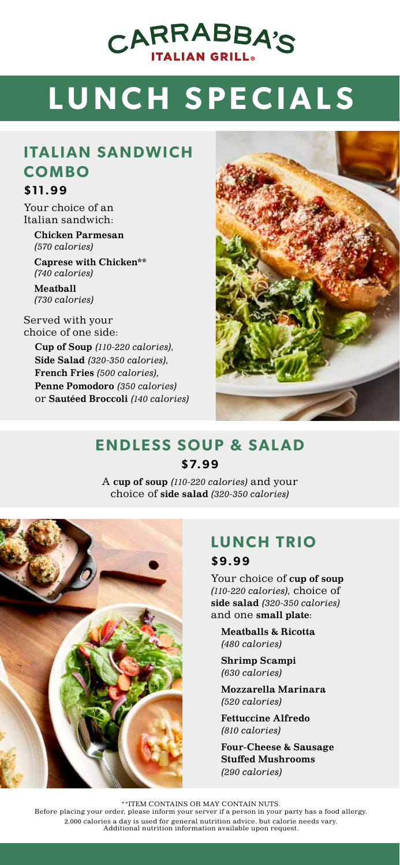# CARRABBA'S

## 9 **LUNCH SPECIALS**

### **ITALIAN SANDWICH COMBO**

#### **\$11.99**

Your choice of an Italian sandwich: Chicken Parmesan

*(570 calories)* 

Caprese with Chicken\*\* *(740 calories)* 

Meatball *(730 calories)*

Served with your choice of one side:

> Cup of Soup *(110-220 calories)*, Side Salad *(320-350 calories)*, French Fries *(500 calories)*, Penne Pomodoro *(350 calories)* or Sautéed Broccoli *(140 calories)*



#### **ENDLESS SOUP & SALAD \$7. 9 9**

A cup of soup *(110-220 calories)* and your choice of side salad *(320-350 calories)*



### **LUNCH TRIO**

#### **\$9.99**

Your choice of cup of soup *(110-220 calories)*, choice of side salad *(320-350 calories)* and one small plate:

Meatballs & Ricotta *(480 calories)*

Shrimp Scampi *(630 calories)*

Mozzarella Marinara *(520 calories)*

Fettuccine Alfredo *(810 calories)*

Four-Cheese & Sausage Stuffed Mushrooms *(290 calories)*

\*\*ITEM CONTAINS OR MAY CONTAIN NUTS. Before placing your order, please inform your server if a person in your party has a food allergy. 2,000 calories a day is used for general nutrition advice, but calorie needs vary. Additional nutrition information available upon request.